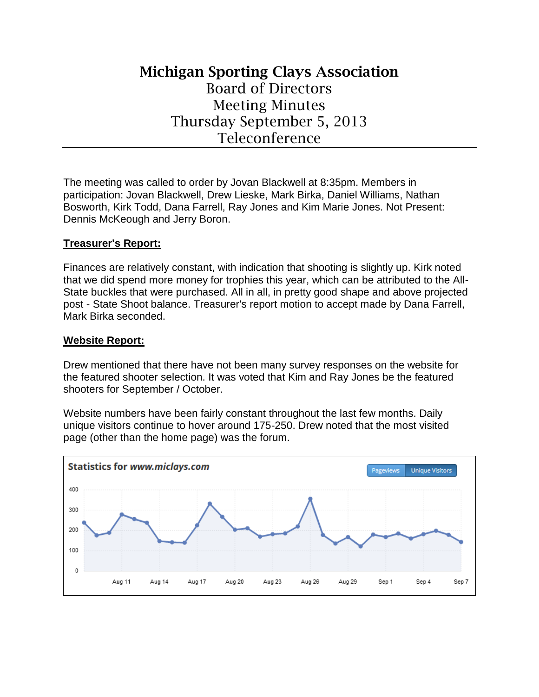# **Michigan Sporting Clays Association** Board of Directors Meeting Minutes Thursday September 5, 2013 Teleconference

The meeting was called to order by Jovan Blackwell at 8:35pm. Members in participation: Jovan Blackwell, Drew Lieske, Mark Birka, Daniel Williams, Nathan Bosworth, Kirk Todd, Dana Farrell, Ray Jones and Kim Marie Jones. Not Present: Dennis McKeough and Jerry Boron.

### **Treasurer's Report:**

Finances are relatively constant, with indication that shooting is slightly up. Kirk noted that we did spend more money for trophies this year, which can be attributed to the All-State buckles that were purchased. All in all, in pretty good shape and above projected post - State Shoot balance. Treasurer's report motion to accept made by Dana Farrell, Mark Birka seconded.

#### **Website Report:**

Drew mentioned that there have not been many survey responses on the website for the featured shooter selection. It was voted that Kim and Ray Jones be the featured shooters for September / October.

Website numbers have been fairly constant throughout the last few months. Daily unique visitors continue to hover around 175-250. Drew noted that the most visited page (other than the home page) was the forum.

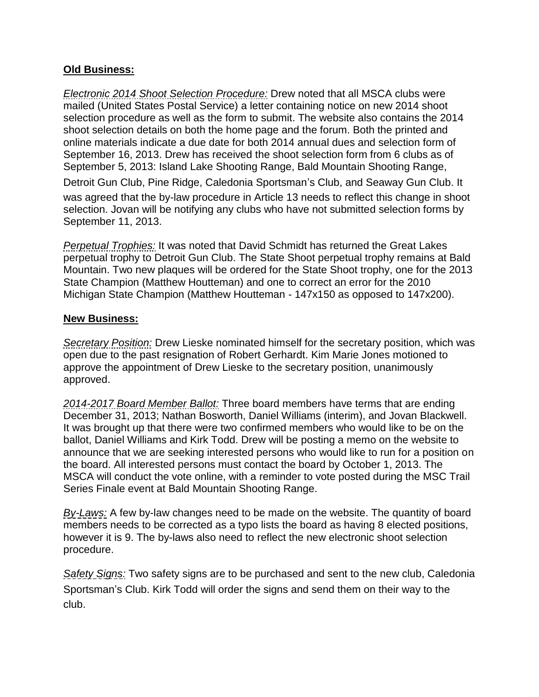## **Old Business:**

*Electronic 2014 Shoot Selection Procedure:* Drew noted that all MSCA clubs were mailed (United States Postal Service) a letter containing notice on new 2014 shoot selection procedure as well as the form to submit. The website also contains the 2014 shoot selection details on both the home page and the forum. Both the printed and online materials indicate a due date for both 2014 annual dues and selection form of September 16, 2013. Drew has received the shoot selection form from 6 clubs as of September 5, 2013: Island Lake Shooting Range, Bald Mountain Shooting Range,

Detroit Gun Club, Pine Ridge, Caledonia Sportsman's Club, and Seaway Gun Club. It was agreed that the by-law procedure in Article 13 needs to reflect this change in shoot selection. Jovan will be notifying any clubs who have not submitted selection forms by September 11, 2013.

*Perpetual Trophies:* It was noted that David Schmidt has returned the Great Lakes perpetual trophy to Detroit Gun Club. The State Shoot perpetual trophy remains at Bald Mountain. Two new plaques will be ordered for the State Shoot trophy, one for the 2013 State Champion (Matthew Houtteman) and one to correct an error for the 2010 Michigan State Champion (Matthew Houtteman - 147x150 as opposed to 147x200).

#### **New Business:**

*Secretary Position:* Drew Lieske nominated himself for the secretary position, which was open due to the past resignation of Robert Gerhardt. Kim Marie Jones motioned to approve the appointment of Drew Lieske to the secretary position, unanimously approved.

*2014-2017 Board Member Ballot:* Three board members have terms that are ending December 31, 2013; Nathan Bosworth, Daniel Williams (interim), and Jovan Blackwell. It was brought up that there were two confirmed members who would like to be on the ballot, Daniel Williams and Kirk Todd. Drew will be posting a memo on the website to announce that we are seeking interested persons who would like to run for a position on the board. All interested persons must contact the board by October 1, 2013. The MSCA will conduct the vote online, with a reminder to vote posted during the MSC Trail Series Finale event at Bald Mountain Shooting Range.

*By-Laws:* A few by-law changes need to be made on the website. The quantity of board members needs to be corrected as a typo lists the board as having 8 elected positions, however it is 9. The by-laws also need to reflect the new electronic shoot selection procedure.

*Safety Signs:* Two safety signs are to be purchased and sent to the new club, Caledonia Sportsman's Club. Kirk Todd will order the signs and send them on their way to the club.